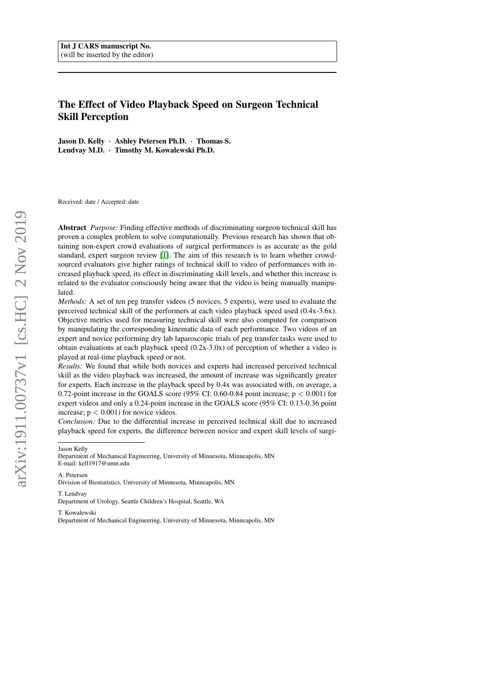# The Effect of Video Playback Speed on Surgeon Technical Skill Perception

Jason D. Kelly · Ashley Petersen Ph.D. · Thomas S. Lendvay M.D. · Timothy M. Kowalewski Ph.D.

Received: date / Accepted: date

Abstract *Purpose:* Finding effective methods of discriminating surgeon technical skill has proven a complex problem to solve computationally. Previous research has shown that obtaining non-expert crowd evaluations of surgical performances is as accurate as the gold standard, expert surgeon review [\[1\]](#page-12-0). The aim of this research is to learn whether crowdsourced evaluators give higher ratings of technical skill to video of performances with increased playback speed, its effect in discriminating skill levels, and whether this increase is related to the evaluator consciously being aware that the video is being manually manipulated.

*Methods:* A set of ten peg transfer videos (5 novices, 5 experts), were used to evaluate the perceived technical skill of the performers at each video playback speed used (0.4x-3.6x). Objective metrics used for measuring technical skill were also computed for comparison by manipulating the corresponding kinematic data of each performance. Two videos of an expert and novice performing dry lab laparoscopic trials of peg transfer tasks were used to obtain evaluations at each playback speed (0.2x-3.0x) of perception of whether a video is played at real-time playback speed or not.

*Results:* We found that while both novices and experts had increased perceived technical skill as the video playback was increased, the amount of increase was significantly greater for experts. Each increase in the playback speed by 0.4x was associated with, on average, a 0.72-point increase in the GOALS score (95% CI: 0.60-0.84 point increase;  $p < 0.001$ ) for expert videos and only a 0.24-point increase in the GOALS score (95% CI: 0.13-0.36 point increase;  $p < 0.001$ ) for novice videos.

*Conclusion:* Due to the differential increase in perceived technical skill due to increased playback speed for experts, the difference between novice and expert skill levels of surgi-

A. Petersen

T. Lendvay

T. Kowalewski Department of Mechanical Engineering, University of Minnesota, Minneapolis, MN

Jason Kelly

Department of Mechanical Engineering, University of Minnesota, Minneapolis, MN E-mail: kell1917@umn.edu

Division of Biostatistics, University of Minnesota, Minneapolis, MN

Department of Urology, Seattle Children's Hospital, Seattle, WA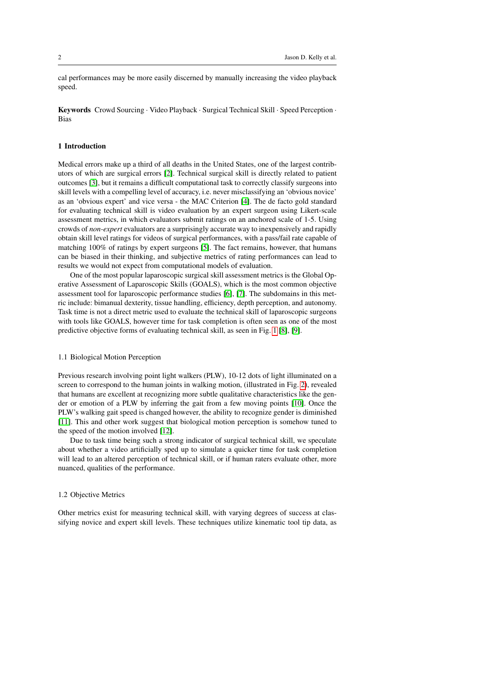cal performances may be more easily discerned by manually increasing the video playback speed.

Keywords Crowd Sourcing · Video Playback · Surgical Technical Skill · Speed Perception · Bias

### 1 Introduction

Medical errors make up a third of all deaths in the United States, one of the largest contributors of which are surgical errors [\[2\]](#page-12-1). Technical surgical skill is directly related to patient outcomes [\[3\]](#page-12-2), but it remains a difficult computational task to correctly classify surgeons into skill levels with a compelling level of accuracy, i.e. never misclassifying an 'obvious novice' as an 'obvious expert' and vice versa - the MAC Criterion [\[4\]](#page-12-3). The de facto gold standard for evaluating technical skill is video evaluation by an expert surgeon using Likert-scale assessment metrics, in which evaluators submit ratings on an anchored scale of 1-5. Using crowds of *non-expert* evaluators are a surprisingly accurate way to inexpensively and rapidly obtain skill level ratings for videos of surgical performances, with a pass/fail rate capable of matching 100% of ratings by expert surgeons [\[5\]](#page-12-4). The fact remains, however, that humans can be biased in their thinking, and subjective metrics of rating performances can lead to results we would not expect from computational models of evaluation.

One of the most popular laparoscopic surgical skill assessment metrics is the Global Operative Assessment of Laparoscopic Skills (GOALS), which is the most common objective assessment tool for laparoscopic performance studies [\[6\]](#page-12-5), [\[7\]](#page-12-6). The subdomains in this metric include: bimanual dexterity, tissue handling, efficiency, depth perception, and autonomy. Task time is not a direct metric used to evaluate the technical skill of laparoscopic surgeons with tools like GOALS, however time for task completion is often seen as one of the most predictive objective forms of evaluating technical skill, as seen in Fig. [1](#page-2-0) [\[8\]](#page-12-7), [\[9\]](#page-12-8).

#### 1.1 Biological Motion Perception

Previous research involving point light walkers (PLW), 10-12 dots of light illuminated on a screen to correspond to the human joints in walking motion, (illustrated in Fig. [2\)](#page-2-1), revealed that humans are excellent at recognizing more subtle qualitative characteristics like the gender or emotion of a PLW by inferring the gait from a few moving points [\[10\]](#page-12-9). Once the PLW's walking gait speed is changed however, the ability to recognize gender is diminished [\[11\]](#page-12-10). This and other work suggest that biological motion perception is somehow tuned to the speed of the motion involved [\[12\]](#page-12-11).

Due to task time being such a strong indicator of surgical technical skill, we speculate about whether a video artificially sped up to simulate a quicker time for task completion will lead to an altered perception of technical skill, or if human raters evaluate other, more nuanced, qualities of the performance.

#### <span id="page-1-0"></span>1.2 Objective Metrics

Other metrics exist for measuring technical skill, with varying degrees of success at classifying novice and expert skill levels. These techniques utilize kinematic tool tip data, as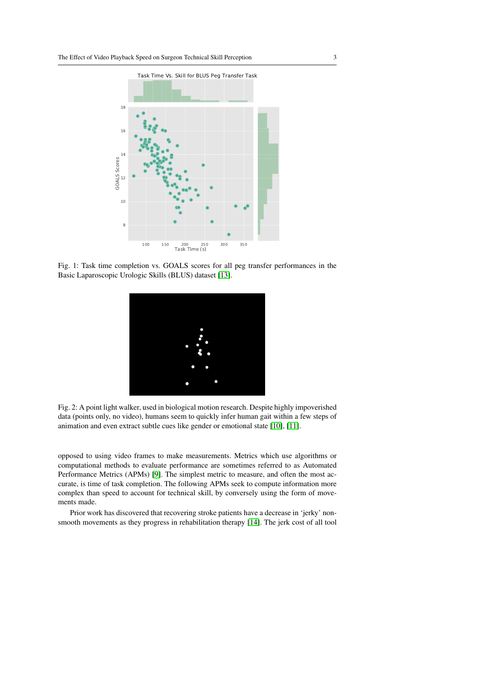<span id="page-2-0"></span>

<span id="page-2-1"></span>Fig. 1: Task time completion vs. GOALS scores for all peg transfer performances in the Basic Laparoscopic Urologic Skills (BLUS) dataset [\[13\]](#page-12-12).



Fig. 2: A point light walker, used in biological motion research. Despite highly impoverished data (points only, no video), humans seem to quickly infer human gait within a few steps of animation and even extract subtle cues like gender or emotional state [\[10\]](#page-12-9), [\[11\]](#page-12-10).

opposed to using video frames to make measurements. Metrics which use algorithms or computational methods to evaluate performance are sometimes referred to as Automated Performance Metrics (APMs) [\[9\]](#page-12-8). The simplest metric to measure, and often the most accurate, is time of task completion. The following APMs seek to compute information more complex than speed to account for technical skill, by conversely using the form of movements made.

Prior work has discovered that recovering stroke patients have a decrease in 'jerky' nonsmooth movements as they progress in rehabilitation therapy [\[14\]](#page-12-13). The jerk cost of all tool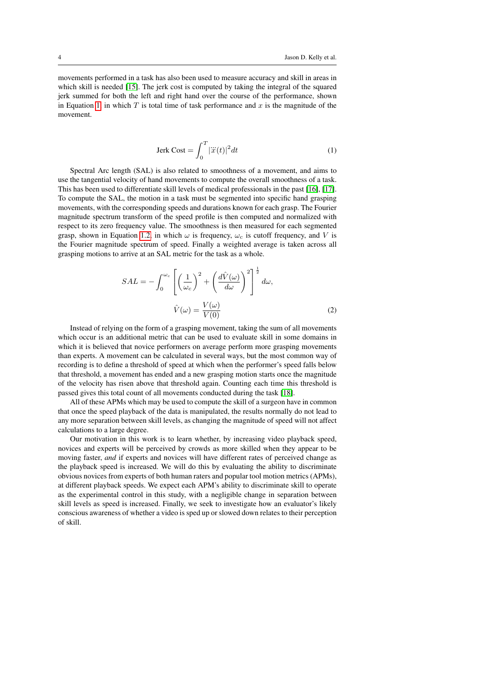movements performed in a task has also been used to measure accuracy and skill in areas in which skill is needed [\[15\]](#page-12-14). The jerk cost is computed by taking the integral of the squared jerk summed for both the left and right hand over the course of the performance, shown in Equation [1,](#page-3-0) in which T is total time of task performance and x is the magnitude of the movement.

<span id="page-3-0"></span>
$$
\text{Jerk Cost} = \int_0^T |\ddot{x}(t)|^2 dt \tag{1}
$$

Spectral Arc length (SAL) is also related to smoothness of a movement, and aims to use the tangential velocity of hand movements to compute the overall smoothness of a task. This has been used to differentiate skill levels of medical professionals in the past [\[16\]](#page-12-15), [\[17\]](#page-12-16). To compute the SAL, the motion in a task must be segmented into specific hand grasping movements, with the corresponding speeds and durations known for each grasp. The Fourier magnitude spectrum transform of the speed profile is then computed and normalized with respect to its zero frequency value. The smoothness is then measured for each segmented grasp, shown in Equation [1.2,](#page-3-1) in which  $\omega$  is frequency,  $\omega_c$  is cutoff frequency, and V is the Fourier magnitude spectrum of speed. Finally a weighted average is taken across all grasping motions to arrive at an SAL metric for the task as a whole.

<span id="page-3-1"></span>
$$
SAL = -\int_0^{\omega_c} \left[ \left(\frac{1}{\omega_c}\right)^2 + \left(\frac{d\hat{V}(\omega)}{d\omega}\right)^2 \right]^{\frac{1}{2}} d\omega,
$$

$$
\hat{V}(\omega) = \frac{V(\omega)}{V(0)}\tag{2}
$$

Instead of relying on the form of a grasping movement, taking the sum of all movements which occur is an additional metric that can be used to evaluate skill in some domains in which it is believed that novice performers on average perform more grasping movements than experts. A movement can be calculated in several ways, but the most common way of recording is to define a threshold of speed at which when the performer's speed falls below that threshold, a movement has ended and a new grasping motion starts once the magnitude of the velocity has risen above that threshold again. Counting each time this threshold is passed gives this total count of all movements conducted during the task [\[18\]](#page-12-17).

All of these APMs which may be used to compute the skill of a surgeon have in common that once the speed playback of the data is manipulated, the results normally do not lead to any more separation between skill levels, as changing the magnitude of speed will not affect calculations to a large degree.

Our motivation in this work is to learn whether, by increasing video playback speed, novices and experts will be perceived by crowds as more skilled when they appear to be moving faster, *and* if experts and novices will have different rates of perceived change as the playback speed is increased. We will do this by evaluating the ability to discriminate obvious novices from experts of both human raters and popular tool motion metrics (APMs), at different playback speeds. We expect each APM's ability to discriminate skill to operate as the experimental control in this study, with a negligible change in separation between skill levels as speed is increased. Finally, we seek to investigate how an evaluator's likely conscious awareness of whether a video is sped up or slowed down relates to their perception of skill.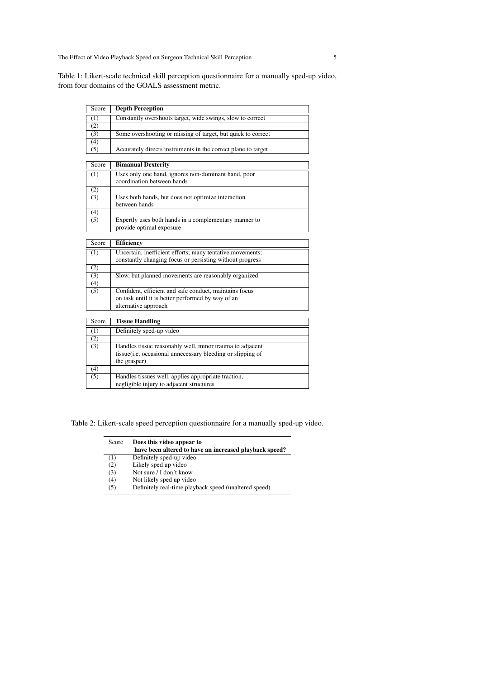<span id="page-4-0"></span>Table 1: Likert-scale technical skill perception questionnaire for a manually sped-up video, from four domains of the GOALS assessment metric.

| Score            | <b>Depth Perception</b>                                                                         |
|------------------|-------------------------------------------------------------------------------------------------|
| (1)              | Constantly overshoots target, wide swings, slow to correct                                      |
| $\overline{(2)}$ |                                                                                                 |
| (3)              | Some overshooting or missing of target, but quick to correct                                    |
| (4)              |                                                                                                 |
| (5)              | Accurately directs instruments in the correct plane to target                                   |
|                  |                                                                                                 |
| Score            | <b>Bimanual Dexterity</b>                                                                       |
| (1)              | Uses only one hand, ignores non-dominant hand, poor                                             |
|                  | coordination between hands                                                                      |
| (2)              |                                                                                                 |
| $\overline{(3)}$ | Uses both hands, but does not optimize interaction                                              |
|                  | between hands                                                                                   |
| (4)              |                                                                                                 |
| $\overline{(5)}$ | Expertly uses both hands in a complementary manner to                                           |
|                  | provide optimal exposure                                                                        |
|                  |                                                                                                 |
| Score            | <b>Efficiency</b>                                                                               |
| (1)              | Uncertain, inefficient efforts; many tentative movements;                                       |
|                  | constantly changing focus or persisting without progress                                        |
| (2)              |                                                                                                 |
| $\overline{(3)}$ | Slow, but planned movements are reasonably organized                                            |
| (4)              |                                                                                                 |
| (5)              | Confident, efficient and safe conduct, maintains focus                                          |
|                  | on task until it is better performed by way of an                                               |
|                  | alternative approach                                                                            |
| Score            | <b>Tissue Handling</b>                                                                          |
|                  |                                                                                                 |
| (1)              | Definitely sped-up video                                                                        |
| (2)              |                                                                                                 |
| (3)              | Handles tissue reasonably well, minor trauma to adjacent                                        |
|                  | tissue(i.e. occasional unnecessary bleeding or slipping of                                      |
|                  | the grasper)                                                                                    |
| (4)<br>(5)       |                                                                                                 |
|                  |                                                                                                 |
|                  | Handles tissues well, applies appropriate traction,<br>negligible injury to adjacent structures |

<span id="page-4-1"></span>Table 2: Likert-scale speed perception questionnaire for a manually sped-up video.

| Score | Does this video appear to<br>have been altered to have an increased playback speed? |
|-------|-------------------------------------------------------------------------------------|
| (1)   | Definitely sped-up video                                                            |
| (2)   | Likely sped up video                                                                |
| (3)   | Not sure / I don't know                                                             |
| (4)   | Not likely sped up video                                                            |
| (5)   | Definitely real-time playback speed (unaltered speed)                               |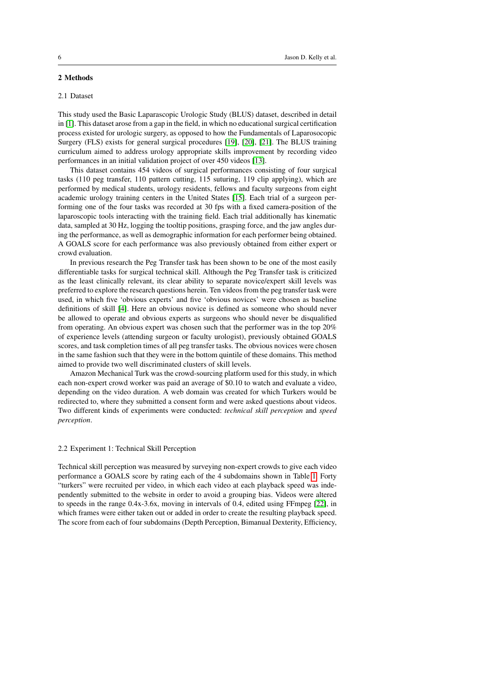## 2 Methods

#### 2.1 Dataset

This study used the Basic Laparascopic Urologic Study (BLUS) dataset, described in detail in [\[1\]](#page-12-0). This dataset arose from a gap in the field, in which no educational surgical certification process existed for urologic surgery, as opposed to how the Fundamentals of Laparosocopic Surgery (FLS) exists for general surgical procedures [\[19\]](#page-12-18), [\[20\]](#page-12-19), [\[21\]](#page-12-20). The BLUS training curriculum aimed to address urology appropriate skills improvement by recording video performances in an initial validation project of over 450 videos [\[13\]](#page-12-12).

This dataset contains 454 videos of surgical performances consisting of four surgical tasks (110 peg transfer, 110 pattern cutting, 115 suturing, 119 clip applying), which are performed by medical students, urology residents, fellows and faculty surgeons from eight academic urology training centers in the United States [\[15\]](#page-12-14). Each trial of a surgeon performing one of the four tasks was recorded at 30 fps with a fixed camera-position of the laparoscopic tools interacting with the training field. Each trial additionally has kinematic data, sampled at 30 Hz, logging the tooltip positions, grasping force, and the jaw angles during the performance, as well as demographic information for each performer being obtained. A GOALS score for each performance was also previously obtained from either expert or crowd evaluation.

In previous research the Peg Transfer task has been shown to be one of the most easily differentiable tasks for surgical technical skill. Although the Peg Transfer task is criticized as the least clinically relevant, its clear ability to separate novice/expert skill levels was preferred to explore the research questions herein. Ten videos from the peg transfer task were used, in which five 'obvious experts' and five 'obvious novices' were chosen as baseline definitions of skill [\[4\]](#page-12-3). Here an obvious novice is defined as someone who should never be allowed to operate and obvious experts as surgeons who should never be disqualified from operating. An obvious expert was chosen such that the performer was in the top 20% of experience levels (attending surgeon or faculty urologist), previously obtained GOALS scores, and task completion times of all peg transfer tasks. The obvious novices were chosen in the same fashion such that they were in the bottom quintile of these domains. This method aimed to provide two well discriminated clusters of skill levels.

Amazon Mechanical Turk was the crowd-sourcing platform used for this study, in which each non-expert crowd worker was paid an average of \$0.10 to watch and evaluate a video, depending on the video duration. A web domain was created for which Turkers would be redirected to, where they submitted a consent form and were asked questions about videos. Two different kinds of experiments were conducted: *technical skill perception* and *speed perception*.

#### 2.2 Experiment 1: Technical Skill Perception

Technical skill perception was measured by surveying non-expert crowds to give each video performance a GOALS score by rating each of the 4 subdomains shown in Table [1.](#page-4-0) Forty "turkers" were recruited per video, in which each video at each playback speed was independently submitted to the website in order to avoid a grouping bias. Videos were altered to speeds in the range 0.4x-3.6x, moving in intervals of 0.4, edited using FFmpeg [\[22\]](#page-12-21), in which frames were either taken out or added in order to create the resulting playback speed. The score from each of four subdomains (Depth Perception, Bimanual Dexterity, Efficiency,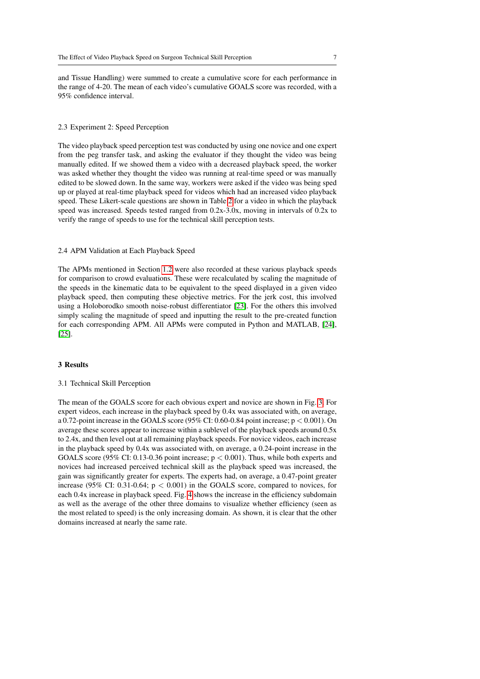and Tissue Handling) were summed to create a cumulative score for each performance in the range of 4-20. The mean of each video's cumulative GOALS score was recorded, with a 95% confidence interval.

#### 2.3 Experiment 2: Speed Perception

The video playback speed perception test was conducted by using one novice and one expert from the peg transfer task, and asking the evaluator if they thought the video was being manually edited. If we showed them a video with a decreased playback speed, the worker was asked whether they thought the video was running at real-time speed or was manually edited to be slowed down. In the same way, workers were asked if the video was being sped up or played at real-time playback speed for videos which had an increased video playback speed. These Likert-scale questions are shown in Table [2](#page-4-1) for a video in which the playback speed was increased. Speeds tested ranged from 0.2x-3.0x, moving in intervals of 0.2x to verify the range of speeds to use for the technical skill perception tests.

#### 2.4 APM Validation at Each Playback Speed

The APMs mentioned in Section [1.2](#page-1-0) were also recorded at these various playback speeds for comparison to crowd evaluations. These were recalculated by scaling the magnitude of the speeds in the kinematic data to be equivalent to the speed displayed in a given video playback speed, then computing these objective metrics. For the jerk cost, this involved using a Holoborodko smooth noise-robust differentiator [\[23\]](#page-12-22). For the others this involved simply scaling the magnitude of speed and inputting the result to the pre-created function for each corresponding APM. All APMs were computed in Python and MATLAB, [\[24\]](#page-12-23), [\[25\]](#page-12-24).

## 3 Results

### 3.1 Technical Skill Perception

The mean of the GOALS score for each obvious expert and novice are shown in Fig. [3.](#page-7-0) For expert videos, each increase in the playback speed by 0.4x was associated with, on average, a 0.72-point increase in the GOALS score (95% CI: 0.60-0.84 point increase;  $p < 0.001$ ). On average these scores appear to increase within a sublevel of the playback speeds around 0.5x to 2.4x, and then level out at all remaining playback speeds. For novice videos, each increase in the playback speed by 0.4x was associated with, on average, a 0.24-point increase in the GOALS score (95% CI: 0.13-0.36 point increase;  $p < 0.001$ ). Thus, while both experts and novices had increased perceived technical skill as the playback speed was increased, the gain was significantly greater for experts. The experts had, on average, a 0.47-point greater increase (95% CI: 0.31-0.64;  $p < 0.001$ ) in the GOALS score, compared to novices, for each 0.4x increase in playback speed. Fig. [4](#page-7-1) shows the increase in the efficiency subdomain as well as the average of the other three domains to visualize whether efficiency (seen as the most related to speed) is the only increasing domain. As shown, it is clear that the other domains increased at nearly the same rate.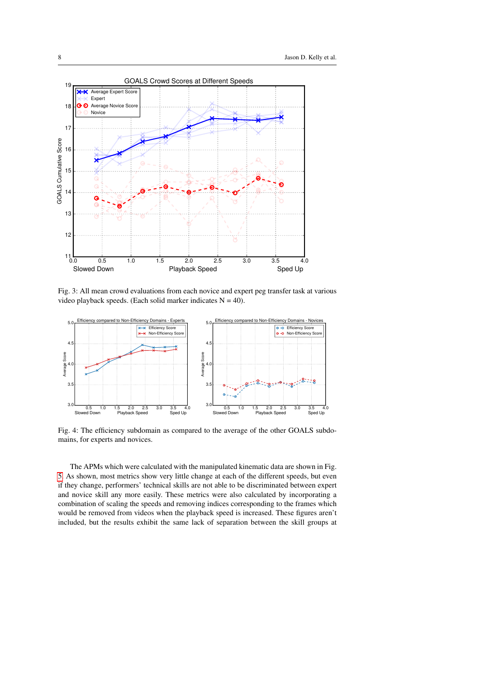<span id="page-7-0"></span>

Fig. 3: All mean crowd evaluations from each novice and expert peg transfer task at various video playback speeds. (Each solid marker indicates  $N = 40$ ).

<span id="page-7-1"></span>

Fig. 4: The efficiency subdomain as compared to the average of the other GOALS subdomains, for experts and novices.

The APMs which were calculated with the manipulated kinematic data are shown in Fig. [5.](#page-8-0) As shown, most metrics show very little change at each of the different speeds, but even if they change, performers' technical skills are not able to be discriminated between expert and novice skill any more easily. These metrics were also calculated by incorporating a combination of scaling the speeds and removing indices corresponding to the frames which would be removed from videos when the playback speed is increased. These figures aren't included, but the results exhibit the same lack of separation between the skill groups at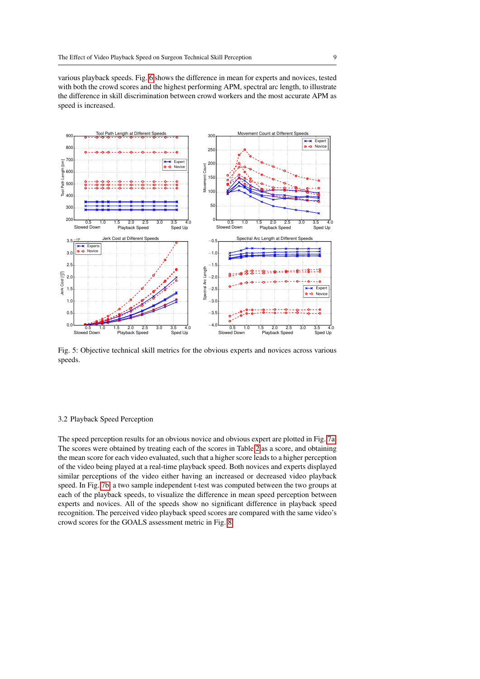various playback speeds. Fig. [6](#page-9-0) shows the difference in mean for experts and novices, tested with both the crowd scores and the highest performing APM, spectral arc length, to illustrate the difference in skill discrimination between crowd workers and the most accurate APM as speed is increased.

<span id="page-8-0"></span>

Fig. 5: Objective technical skill metrics for the obvious experts and novices across various speeds.

#### 3.2 Playback Speed Perception

The speed perception results for an obvious novice and obvious expert are plotted in Fig. [7a.](#page-10-0) The scores were obtained by treating each of the scores in Table [2](#page-4-1) as a score, and obtaining the mean score for each video evaluated, such that a higher score leads to a higher perception of the video being played at a real-time playback speed. Both novices and experts displayed similar perceptions of the video either having an increased or decreased video playback speed. In Fig. [7b,](#page-10-0) a two sample independent t-test was computed between the two groups at each of the playback speeds, to visualize the difference in mean speed perception between experts and novices. All of the speeds show no significant difference in playback speed recognition. The perceived video playback speed scores are compared with the same video's crowd scores for the GOALS assessment metric in Fig. [8.](#page-11-0)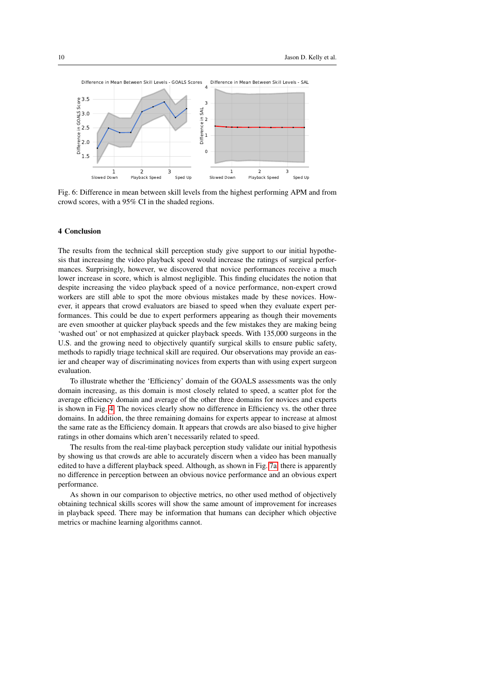<span id="page-9-0"></span>

Fig. 6: Difference in mean between skill levels from the highest performing APM and from crowd scores, with a 95% CI in the shaded regions.

#### 4 Conclusion

The results from the technical skill perception study give support to our initial hypothesis that increasing the video playback speed would increase the ratings of surgical performances. Surprisingly, however, we discovered that novice performances receive a much lower increase in score, which is almost negligible. This finding elucidates the notion that despite increasing the video playback speed of a novice performance, non-expert crowd workers are still able to spot the more obvious mistakes made by these novices. However, it appears that crowd evaluators are biased to speed when they evaluate expert performances. This could be due to expert performers appearing as though their movements are even smoother at quicker playback speeds and the few mistakes they are making being 'washed out' or not emphasized at quicker playback speeds. With 135,000 surgeons in the U.S. and the growing need to objectively quantify surgical skills to ensure public safety, methods to rapidly triage technical skill are required. Our observations may provide an easier and cheaper way of discriminating novices from experts than with using expert surgeon evaluation.

To illustrate whether the 'Efficiency' domain of the GOALS assessments was the only domain increasing, as this domain is most closely related to speed, a scatter plot for the average efficiency domain and average of the other three domains for novices and experts is shown in Fig. [4.](#page-7-1) The novices clearly show no difference in Efficiency vs. the other three domains. In addition, the three remaining domains for experts appear to increase at almost the same rate as the Efficiency domain. It appears that crowds are also biased to give higher ratings in other domains which aren't necessarily related to speed.

The results from the real-time playback perception study validate our initial hypothesis by showing us that crowds are able to accurately discern when a video has been manually edited to have a different playback speed. Although, as shown in Fig. [7a,](#page-10-0) there is apparently no difference in perception between an obvious novice performance and an obvious expert performance.

As shown in our comparison to objective metrics, no other used method of objectively obtaining technical skills scores will show the same amount of improvement for increases in playback speed. There may be information that humans can decipher which objective metrics or machine learning algorithms cannot.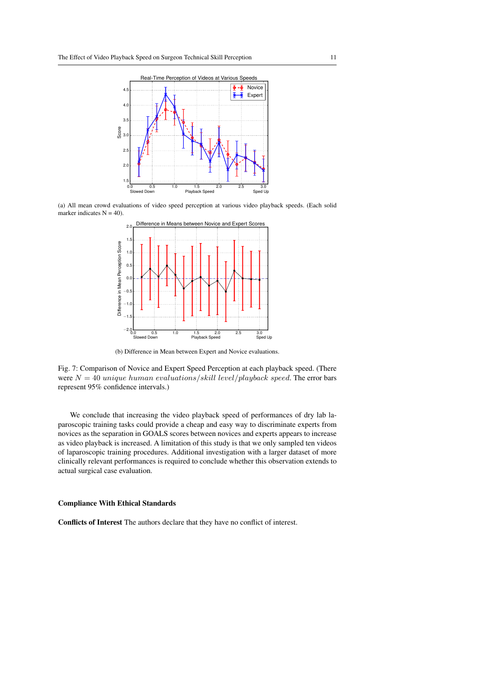<span id="page-10-0"></span>

(a) All mean crowd evaluations of video speed perception at various video playback speeds. (Each solid marker indicates  $N = 40$ ).



(b) Difference in Mean between Expert and Novice evaluations.

Fig. 7: Comparison of Novice and Expert Speed Perception at each playback speed. (There were  $N = 40$  unique human evaluations/skill level/playback speed. The error bars represent 95% confidence intervals.)

We conclude that increasing the video playback speed of performances of dry lab laparoscopic training tasks could provide a cheap and easy way to discriminate experts from novices as the separation in GOALS scores between novices and experts appears to increase as video playback is increased. A limitation of this study is that we only sampled ten videos of laparoscopic training procedures. Additional investigation with a larger dataset of more clinically relevant performances is required to conclude whether this observation extends to actual surgical case evaluation.

### Compliance With Ethical Standards

Conflicts of Interest The authors declare that they have no conflict of interest.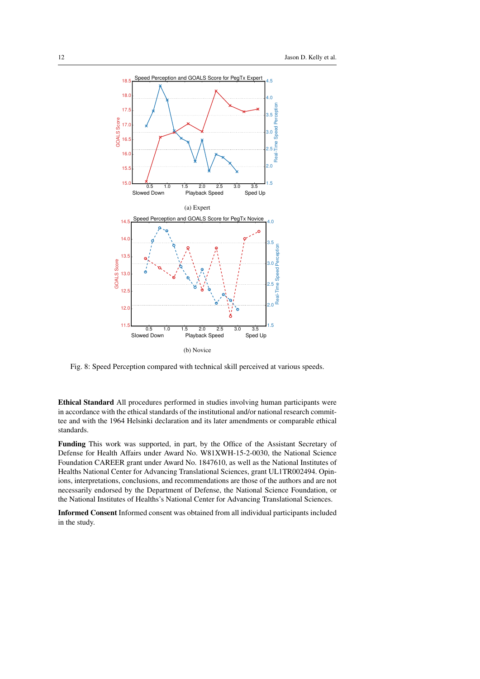<span id="page-11-0"></span>

Fig. 8: Speed Perception compared with technical skill perceived at various speeds.

Ethical Standard All procedures performed in studies involving human participants were in accordance with the ethical standards of the institutional and/or national research committee and with the 1964 Helsinki declaration and its later amendments or comparable ethical standards.

Funding This work was supported, in part, by the Office of the Assistant Secretary of Defense for Health Affairs under Award No. W81XWH-15-2-0030, the National Science Foundation CAREER grant under Award No. 1847610, as well as the National Institutes of Healths National Center for Advancing Translational Sciences, grant UL1TR002494. Opinions, interpretations, conclusions, and recommendations are those of the authors and are not necessarily endorsed by the Department of Defense, the National Science Foundation, or the National Institutes of Healths's National Center for Advancing Translational Sciences.

Informed Consent Informed consent was obtained from all individual participants included in the study.